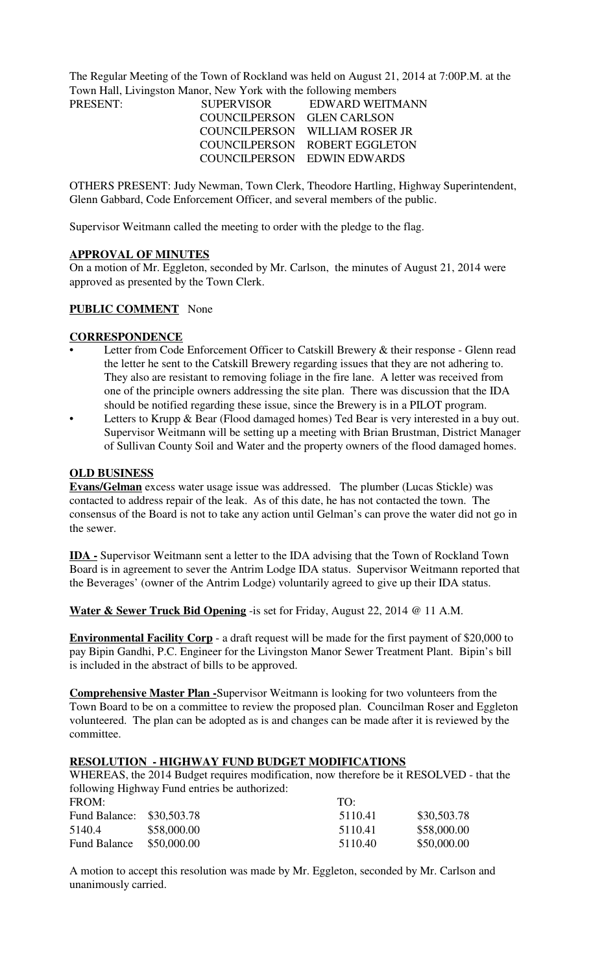The Regular Meeting of the Town of Rockland was held on August 21, 2014 at 7:00P.M. at the Town Hall, Livingston Manor, New York with the following members

| <b>SUPERVISOR</b>          | EDWARD WEITMANN                |
|----------------------------|--------------------------------|
| COUNCILPERSON GLEN CARLSON |                                |
|                            | COUNCILPERSON WILLIAM ROSER JR |
|                            | COUNCILPERSON ROBERT EGGLETON  |
|                            | COUNCILPERSON EDWIN EDWARDS    |
|                            |                                |

OTHERS PRESENT: Judy Newman, Town Clerk, Theodore Hartling, Highway Superintendent, Glenn Gabbard, Code Enforcement Officer, and several members of the public.

Supervisor Weitmann called the meeting to order with the pledge to the flag.

#### **APPROVAL OF MINUTES**

On a motion of Mr. Eggleton, seconded by Mr. Carlson, the minutes of August 21, 2014 were approved as presented by the Town Clerk.

## **PUBLIC COMMENT** None

#### **CORRESPONDENCE**

- Letter from Code Enforcement Officer to Catskill Brewery & their response Glenn read the letter he sent to the Catskill Brewery regarding issues that they are not adhering to. They also are resistant to removing foliage in the fire lane. A letter was received from one of the principle owners addressing the site plan. There was discussion that the IDA should be notified regarding these issue, since the Brewery is in a PILOT program.
- Letters to Krupp & Bear (Flood damaged homes) Ted Bear is very interested in a buy out. Supervisor Weitmann will be setting up a meeting with Brian Brustman, District Manager of Sullivan County Soil and Water and the property owners of the flood damaged homes.

#### **OLD BUSINESS**

**Evans/Gelman** excess water usage issue was addressed. The plumber (Lucas Stickle) was contacted to address repair of the leak. As of this date, he has not contacted the town. The consensus of the Board is not to take any action until Gelman's can prove the water did not go in the sewer.

**IDA -** Supervisor Weitmann sent a letter to the IDA advising that the Town of Rockland Town Board is in agreement to sever the Antrim Lodge IDA status. Supervisor Weitmann reported that the Beverages' (owner of the Antrim Lodge) voluntarily agreed to give up their IDA status.

**Water & Sewer Truck Bid Opening** -is set for Friday, August 22, 2014 @ 11 A.M.

**Environmental Facility Corp** - a draft request will be made for the first payment of \$20,000 to pay Bipin Gandhi, P.C. Engineer for the Livingston Manor Sewer Treatment Plant. Bipin's bill is included in the abstract of bills to be approved.

**Comprehensive Master Plan -**Supervisor Weitmann is looking for two volunteers from the Town Board to be on a committee to review the proposed plan. Councilman Roser and Eggleton volunteered. The plan can be adopted as is and changes can be made after it is reviewed by the committee.

#### **RESOLUTION - HIGHWAY FUND BUDGET MODIFICATIONS**

WHEREAS, the 2014 Budget requires modification, now therefore be it RESOLVED - that the following Highway Fund entries be authorized:

| FROM:         |             | $T\Omega$ . |             |
|---------------|-------------|-------------|-------------|
| Fund Balance: | \$30,503.78 | 5110.41     | \$30,503.78 |
| 5140.4        | \$58,000.00 | 5110.41     | \$58,000.00 |
| Fund Balance  | \$50,000.00 | 5110.40     | \$50,000.00 |

A motion to accept this resolution was made by Mr. Eggleton, seconded by Mr. Carlson and unanimously carried.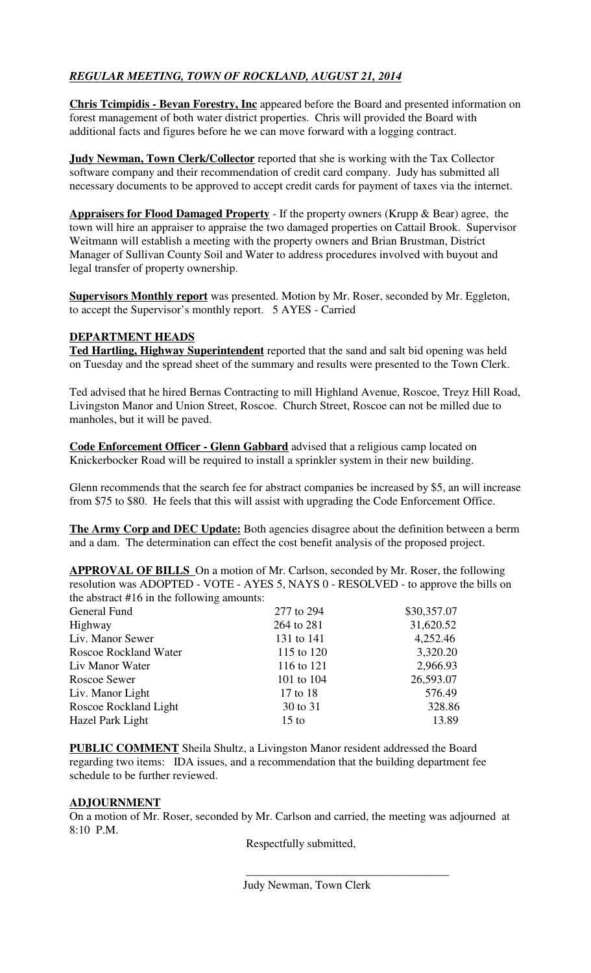# *REGULAR MEETING, TOWN OF ROCKLAND, AUGUST 21, 2014*

**Chris Tcimpidis - Bevan Forestry, Inc** appeared before the Board and presented information on forest management of both water district properties. Chris will provided the Board with additional facts and figures before he we can move forward with a logging contract.

**Judy Newman, Town Clerk/Collector** reported that she is working with the Tax Collector software company and their recommendation of credit card company. Judy has submitted all necessary documents to be approved to accept credit cards for payment of taxes via the internet.

**Appraisers for Flood Damaged Property** - If the property owners (Krupp & Bear) agree, the town will hire an appraiser to appraise the two damaged properties on Cattail Brook. Supervisor Weitmann will establish a meeting with the property owners and Brian Brustman, District Manager of Sullivan County Soil and Water to address procedures involved with buyout and legal transfer of property ownership.

**Supervisors Monthly report** was presented. Motion by Mr. Roser, seconded by Mr. Eggleton, to accept the Supervisor's monthly report. 5 AYES - Carried

# **DEPARTMENT HEADS**

**Ted Hartling, Highway Superintendent** reported that the sand and salt bid opening was held on Tuesday and the spread sheet of the summary and results were presented to the Town Clerk.

Ted advised that he hired Bernas Contracting to mill Highland Avenue, Roscoe, Treyz Hill Road, Livingston Manor and Union Street, Roscoe. Church Street, Roscoe can not be milled due to manholes, but it will be paved.

**Code Enforcement Officer - Glenn Gabbard** advised that a religious camp located on Knickerbocker Road will be required to install a sprinkler system in their new building.

Glenn recommends that the search fee for abstract companies be increased by \$5, an will increase from \$75 to \$80. He feels that this will assist with upgrading the Code Enforcement Office.

**The Army Corp and DEC Update:** Both agencies disagree about the definition between a berm and a dam. The determination can effect the cost benefit analysis of the proposed project.

**APPROVAL OF BILLS** On a motion of Mr. Carlson, seconded by Mr. Roser, the following resolution was ADOPTED - VOTE - AYES 5, NAYS 0 - RESOLVED - to approve the bills on the abstract #16 in the following amounts:

| General Fund                 | 277 to 294      | \$30,357.07 |
|------------------------------|-----------------|-------------|
| Highway                      | 264 to 281      | 31,620.52   |
| Liv. Manor Sewer             | 131 to 141      | 4,252.46    |
| <b>Roscoe Rockland Water</b> | 115 to 120      | 3,320.20    |
| Liv Manor Water              | 116 to 121      | 2,966.93    |
| Roscoe Sewer                 | 101 to 104      | 26,593.07   |
| Liv. Manor Light             | 17 to 18        | 576.49      |
| Roscoe Rockland Light        | 30 to 31        | 328.86      |
| Hazel Park Light             | $15 \text{ to}$ | 13.89       |
|                              |                 |             |

**PUBLIC COMMENT** Sheila Shultz, a Livingston Manor resident addressed the Board regarding two items: IDA issues, and a recommendation that the building department fee schedule to be further reviewed.

## **ADJOURNMENT**

On a motion of Mr. Roser, seconded by Mr. Carlson and carried, the meeting was adjourned at 8:10 P.M.

Respectfully submitted,

\_\_\_\_\_\_\_\_\_\_\_\_\_\_\_\_\_\_\_\_\_\_\_\_\_\_\_\_\_\_\_\_\_\_\_